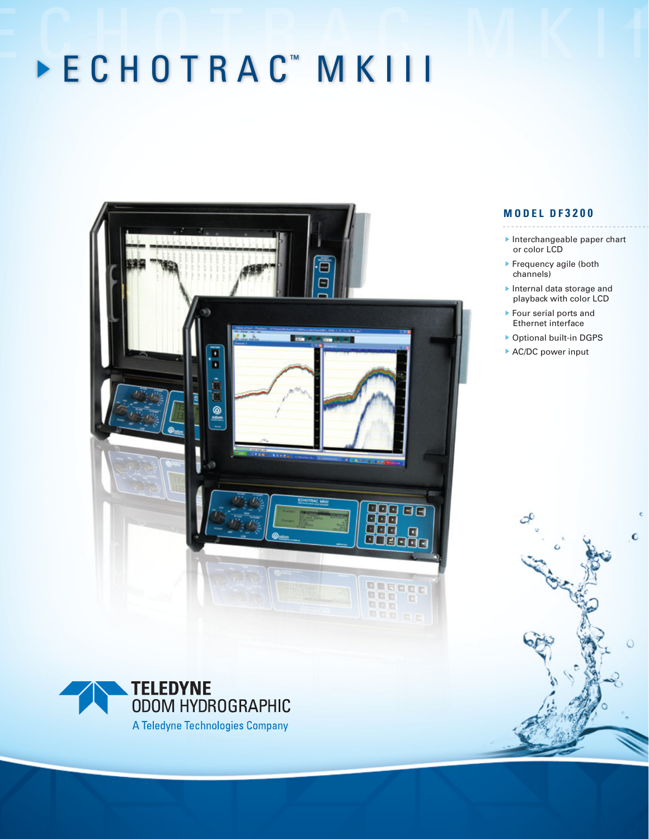# E C H O T R A C<sup>™</sup> M K I I I



**ODOM HYDROGRAPHIC** A Teledyne Technologies Company

# **M O D E L D F 3 2 0 0**

- Interchangeable paper chart or color LCD
- **Frequency agile (both** channels)
- Internal data storage and playback with color LCD
- Four serial ports and Ethernet interface
- Optional built-in DGPS

¢

▶ AC/DC power input